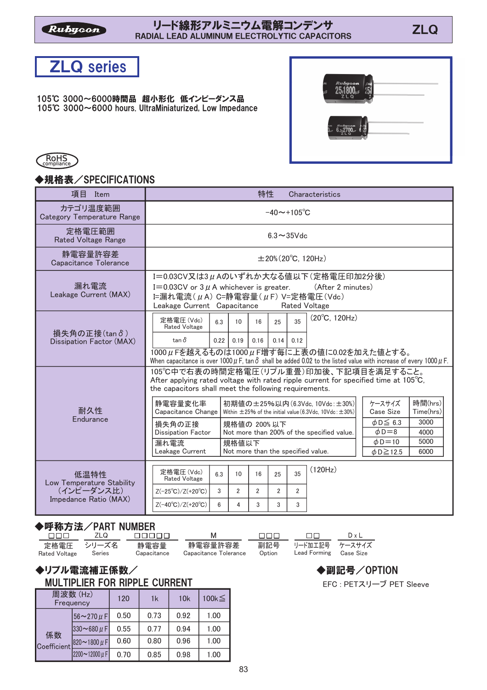### -- リート線オヒノ゙ノレミ―'ノム電胖コンテンサ<br>RADIAL LEAD ALUMINUM ELECTROLYTIC CAPACITORS - - - - - - - - ZLQ



105℃ 3000~6000時間品 超小形化 低インピーダンス品 105°C 3000~6000 hours. UltraMiniaturized, Low Impedance





### ◆規格表/SPECIFICATIONS

| 項目<br>Item                                                               | 特性<br>Characteristics                                                                                                                                                                                                                                                                                                                                                                                                                                                                                                                                                                                                                                                                    |  |  |  |  |  |  |
|--------------------------------------------------------------------------|------------------------------------------------------------------------------------------------------------------------------------------------------------------------------------------------------------------------------------------------------------------------------------------------------------------------------------------------------------------------------------------------------------------------------------------------------------------------------------------------------------------------------------------------------------------------------------------------------------------------------------------------------------------------------------------|--|--|--|--|--|--|
| カテゴリ温度範囲<br><b>Category Temperature Range</b>                            | $-40 \sim +105^{\circ}C$                                                                                                                                                                                                                                                                                                                                                                                                                                                                                                                                                                                                                                                                 |  |  |  |  |  |  |
| 定格電圧範囲<br><b>Rated Voltage Range</b>                                     | $6.3 \sim 35$ Vdc                                                                                                                                                                                                                                                                                                                                                                                                                                                                                                                                                                                                                                                                        |  |  |  |  |  |  |
| 静電容量許容差<br>Capacitance Tolerance                                         | $\pm 20\%$ (20 $^{\circ}$ C, 120Hz)                                                                                                                                                                                                                                                                                                                                                                                                                                                                                                                                                                                                                                                      |  |  |  |  |  |  |
| 漏れ電流<br>Leakage Current (MAX)                                            | I=0.03CV又は3µAのいずれか大なる値以下(定格電圧印加2分後)<br>I=0.03CV or $3 \mu$ A whichever is greater.<br>(After 2 minutes)<br>I=漏れ電流 $(\mu A)$ C=静電容量 $(\mu F)$ V=定格電圧 $(Vdc)$<br>Leakage Current Capacitance<br><b>Rated Voltage</b>                                                                                                                                                                                                                                                                                                                                                                                                                                                                       |  |  |  |  |  |  |
| 損失角の正接(tanδ)<br>Dissipation Factor (MAX)                                 | $(20^{\circ}C, 120Hz)$<br>定格電圧(Vdc)<br>35<br>6.3<br>16<br>25<br>10<br><b>Rated Voltage</b><br>$tan \delta$<br>0.22<br>0.16<br>0.14<br>0.19<br>0.12<br>1000μFを越えるものは1000μF増す毎に上表の値に0.02を加えた値とする。<br>When capacitance is over 1000 $\mu$ F, tan $\delta$ shall be added 0.02 to the listed value with increase of every 1000 $\mu$ F.                                                                                                                                                                                                                                                                                                                                                      |  |  |  |  |  |  |
| 耐久性<br>Endurance                                                         | 105℃中で右表の時間定格電圧(リプル重畳)印加後、下記項目を満足すること。<br>After applying rated voltage with rated ripple current for specified time at $105^{\circ}$ C,<br>the capacitors shall meet the following requirements.<br>ケースサイズ<br>時間(hrs)<br>静電容量変化率<br>初期値の±25%以内 (6.3Vdc, 10Vdc:±30%)<br><b>Case Size</b><br>Time(hrs)<br>Capacitance Change<br>Within $\pm$ 25% of the initial value (6.3Vdc. 10Vdc: $\pm$ 30%)<br>$\phi$ D $\leq$ 6.3<br>3000<br>損失角の正接<br>規格値の 200%以下<br>$\phi$ D=8<br><b>Dissipation Factor</b><br>Not more than 200% of the specified value.<br>4000<br>5000<br>$\phi$ D=10<br>漏れ電流<br>規格値以下<br>Leakage Current<br>Not more than the specified value.<br>6000<br>$\phi$ D $\geq$ 12.5 |  |  |  |  |  |  |
| 低温特性<br>Low Temperature Stability<br>(インピーダンス比)<br>Impedance Ratio (MAX) | (120Hz)<br>定格電圧(Vdc)<br>35<br>6.3<br>25<br>10<br>16<br><b>Rated Voltage</b><br>$\overline{2}$<br>3<br>$\overline{2}$<br>$\overline{2}$<br>$\overline{2}$<br>$Z(-25^{\circ}C)/Z(+20^{\circ}C)$<br>6<br>$Z(-40^{\circ}C)/Z(+20^{\circ}C)$<br>4<br>3<br>3<br>3                                                                                                                                                                                                                                                                                                                                                                                                                              |  |  |  |  |  |  |

## ◆呼称方法/PART NUMRFR

| nnn i                       | ZLQ    | nnnnn               | <b>M</b>                         | <b>INNINI</b> | $\Box$                                       | DxL |  |
|-----------------------------|--------|---------------------|----------------------------------|---------------|----------------------------------------------|-----|--|
| 定格雷圧 シリーズ名<br>Rated Voltage | Series | 静電容量<br>Capacitance | 静電容量許容差<br>Capacitance Tolerance | Option        | 副記号 リード加工記号 ケースサイズ<br>Lead Forming Case Size |     |  |

#### ◆リプル電流補正係数/ MULTIPLIER FOR RIPPLE CURRENT

| 周波数(Hz)<br>Frequency |                                   | 120  | 1k   | 10k  | 100 $k \leq$ |
|----------------------|-----------------------------------|------|------|------|--------------|
|                      | $56 - 270 \mu F$                  | 0.50 | 0.73 | 0.92 | 1.00         |
| 係数                   | $330\nthicksim$ 680 $\mu$ F       | 0.55 | 0.77 | 0.94 | 1.00         |
| Coefficient          | $ 820 \sim 1800 \,\mu \text{ F} $ | 0.60 | 0.80 | 0.96 | 1.00         |
|                      | 2200~12000µF                      | 0.70 | 0.85 | 0.98 | 1.00         |

EFC : PETスリーブ PET Sleeve